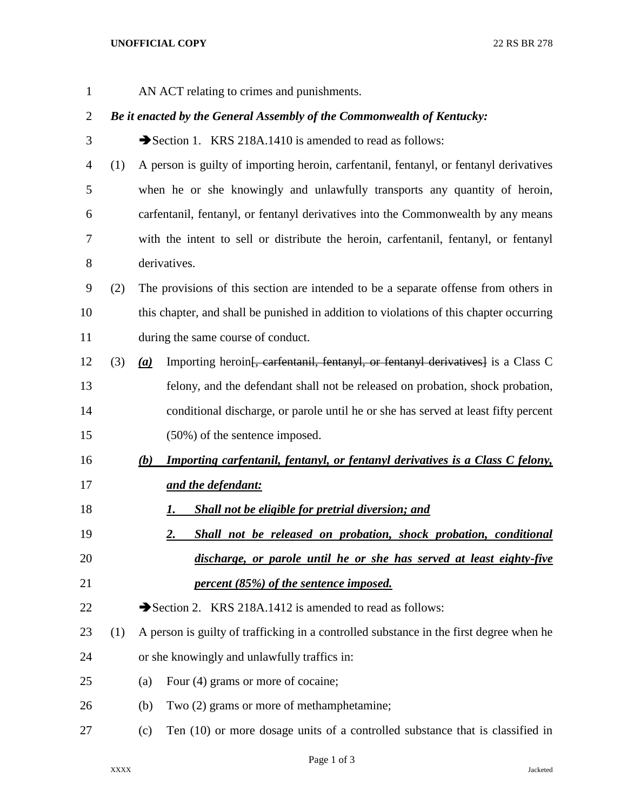## **UNOFFICIAL COPY** 22 RS BR 278

AN ACT relating to crimes and punishments.

## *Be it enacted by the General Assembly of the Commonwealth of Kentucky:*

- 3 Section 1. KRS 218A.1410 is amended to read as follows:
- (1) A person is guilty of importing heroin, carfentanil, fentanyl, or fentanyl derivatives when he or she knowingly and unlawfully transports any quantity of heroin, carfentanil, fentanyl, or fentanyl derivatives into the Commonwealth by any means with the intent to sell or distribute the heroin, carfentanil, fentanyl, or fentanyl derivatives.
- (2) The provisions of this section are intended to be a separate offense from others in this chapter, and shall be punished in addition to violations of this chapter occurring during the same course of conduct.
- (3) *(a)* Importing heroin[, carfentanil, fentanyl, or fentanyl derivatives] is a Class C felony, and the defendant shall not be released on probation, shock probation, conditional discharge, or parole until he or she has served at least fifty percent (50%) of the sentence imposed.
- *(b) Importing carfentanil, fentanyl, or fentanyl derivatives is a Class C felony, and the defendant:*
- *1. Shall not be eligible for pretrial diversion; and*
- *2. Shall not be released on probation, shock probation, conditional discharge, or parole until he or she has served at least eighty-five percent (85%) of the sentence imposed.*

22  $\rightarrow$  Section 2. KRS 218A.1412 is amended to read as follows:

- (1) A person is guilty of trafficking in a controlled substance in the first degree when he or she knowingly and unlawfully traffics in:
- (a) Four (4) grams or more of cocaine;
- (b) Two (2) grams or more of methamphetamine;
- (c) Ten (10) or more dosage units of a controlled substance that is classified in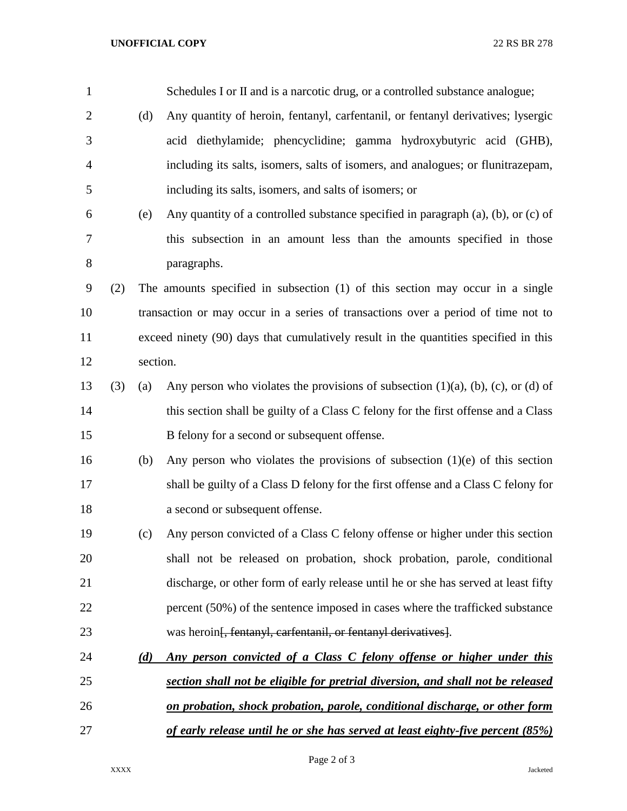| 1              |     |          | Schedules I or II and is a narcotic drug, or a controlled substance analogue;               |  |
|----------------|-----|----------|---------------------------------------------------------------------------------------------|--|
| $\overline{2}$ |     | (d)      | Any quantity of heroin, fentanyl, carfentanil, or fentanyl derivatives; lysergic            |  |
| 3              |     |          | acid diethylamide; phencyclidine; gamma hydroxybutyric acid (GHB),                          |  |
| $\overline{4}$ |     |          | including its salts, isomers, salts of isomers, and analogues; or flunitrazepam,            |  |
| 5              |     |          | including its salts, isomers, and salts of isomers; or                                      |  |
| 6              |     | (e)      | Any quantity of a controlled substance specified in paragraph (a), (b), or (c) of           |  |
| 7              |     |          | this subsection in an amount less than the amounts specified in those                       |  |
| 8              |     |          | paragraphs.                                                                                 |  |
| 9              | (2) |          | The amounts specified in subsection (1) of this section may occur in a single               |  |
| 10             |     |          | transaction or may occur in a series of transactions over a period of time not to           |  |
| 11             |     |          | exceed ninety (90) days that cumulatively result in the quantities specified in this        |  |
| 12             |     | section. |                                                                                             |  |
| 13             | (3) | (a)      | Any person who violates the provisions of subsection $(1)(a)$ , $(b)$ , $(c)$ , or $(d)$ of |  |
| 14             |     |          | this section shall be guilty of a Class C felony for the first offense and a Class          |  |
| 15             |     |          | B felony for a second or subsequent offense.                                                |  |
| 16             |     | (b)      | Any person who violates the provisions of subsection $(1)(e)$ of this section               |  |
| 17             |     |          | shall be guilty of a Class D felony for the first offense and a Class C felony for          |  |
| 18             |     |          | a second or subsequent offense.                                                             |  |
| 19             |     | (c)      | Any person convicted of a Class C felony offense or higher under this section               |  |
| 20             |     |          | shall not be released on probation, shock probation, parole, conditional                    |  |
| 21             |     |          | discharge, or other form of early release until he or she has served at least fifty         |  |
| 22             |     |          | percent (50%) of the sentence imposed in cases where the trafficked substance               |  |
| 23             |     |          | was heroin <del>[, fentanyl, carfentanil, or fentanyl derivatives]</del> .                  |  |
| 24             |     | (d)      | Any person convicted of a Class C felony offense or higher under this                       |  |
| 25             |     |          | section shall not be eligible for pretrial diversion, and shall not be released             |  |
| 26             |     |          | on probation, shock probation, parole, conditional discharge, or other form                 |  |
| 27             |     |          | of early release until he or she has served at least eighty-five percent (85%)              |  |